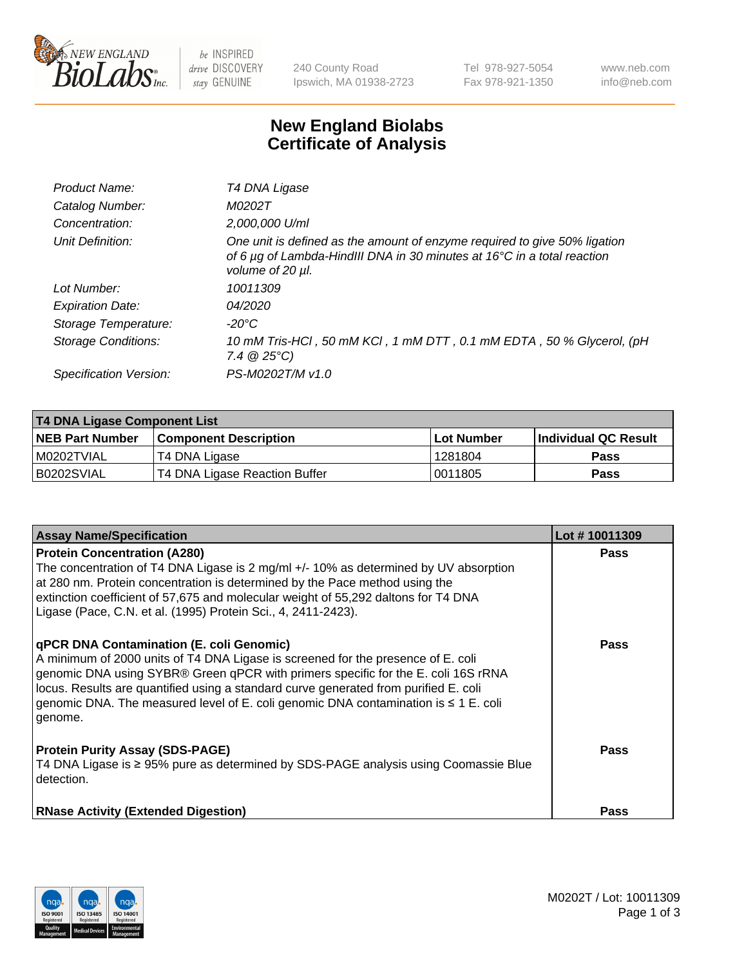

 $be$  INSPIRED drive DISCOVERY stay GENUINE

240 County Road Ipswich, MA 01938-2723 Tel 978-927-5054 Fax 978-921-1350 www.neb.com info@neb.com

## **New England Biolabs Certificate of Analysis**

| Product Name:              | T4 DNA Ligase                                                                                                                                                            |
|----------------------------|--------------------------------------------------------------------------------------------------------------------------------------------------------------------------|
| Catalog Number:            | M0202T                                                                                                                                                                   |
| Concentration:             | 2,000,000 U/ml                                                                                                                                                           |
| Unit Definition:           | One unit is defined as the amount of enzyme required to give 50% ligation<br>of 6 µg of Lambda-HindIII DNA in 30 minutes at 16°C in a total reaction<br>volume of 20 µl. |
| Lot Number:                | 10011309                                                                                                                                                                 |
| <b>Expiration Date:</b>    | 04/2020                                                                                                                                                                  |
| Storage Temperature:       | -20°C                                                                                                                                                                    |
| <b>Storage Conditions:</b> | 10 mM Tris-HCl, 50 mM KCl, 1 mM DTT, 0.1 mM EDTA, 50 % Glycerol, (pH<br>$7.4 \ @ 25^{\circ}C$                                                                            |
| Specification Version:     | PS-M0202T/M v1.0                                                                                                                                                         |
|                            |                                                                                                                                                                          |

| <b>T4 DNA Ligase Component List</b> |                               |                   |                      |  |
|-------------------------------------|-------------------------------|-------------------|----------------------|--|
| <b>NEB Part Number</b>              | <b>Component Description</b>  | <b>Lot Number</b> | Individual QC Result |  |
| I M0202TVIAL                        | T4 DNA Ligase                 | 1281804           | <b>Pass</b>          |  |
| B0202SVIAL                          | T4 DNA Ligase Reaction Buffer | 10011805          | <b>Pass</b>          |  |

| <b>Assay Name/Specification</b>                                                                                                                                                                                                                                                                                                                                                                             | Lot #10011309 |
|-------------------------------------------------------------------------------------------------------------------------------------------------------------------------------------------------------------------------------------------------------------------------------------------------------------------------------------------------------------------------------------------------------------|---------------|
| <b>Protein Concentration (A280)</b><br>The concentration of T4 DNA Ligase is 2 mg/ml $+/-10\%$ as determined by UV absorption<br>at 280 nm. Protein concentration is determined by the Pace method using the                                                                                                                                                                                                | <b>Pass</b>   |
| extinction coefficient of 57,675 and molecular weight of 55,292 daltons for T4 DNA<br>Ligase (Pace, C.N. et al. (1995) Protein Sci., 4, 2411-2423).                                                                                                                                                                                                                                                         |               |
| qPCR DNA Contamination (E. coli Genomic)<br>A minimum of 2000 units of T4 DNA Ligase is screened for the presence of E. coli<br>genomic DNA using SYBR® Green qPCR with primers specific for the E. coli 16S rRNA<br>locus. Results are quantified using a standard curve generated from purified E. coli<br>genomic DNA. The measured level of E. coli genomic DNA contamination is ≤ 1 E. coli<br>genome. | <b>Pass</b>   |
| <b>Protein Purity Assay (SDS-PAGE)</b><br>T4 DNA Ligase is ≥ 95% pure as determined by SDS-PAGE analysis using Coomassie Blue<br>detection.                                                                                                                                                                                                                                                                 | Pass          |
| <b>RNase Activity (Extended Digestion)</b>                                                                                                                                                                                                                                                                                                                                                                  | <b>Pass</b>   |

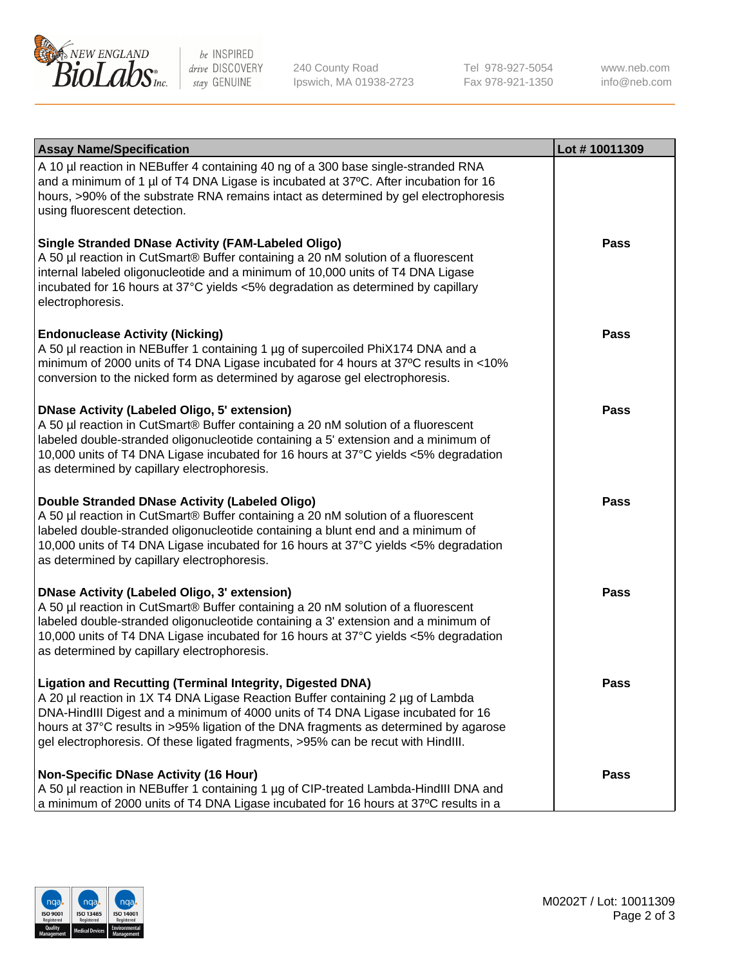

be INSPIRED drive DISCOVERY stay GENUINE

240 County Road Ipswich, MA 01938-2723 Tel 978-927-5054 Fax 978-921-1350

www.neb.com info@neb.com

| <b>Assay Name/Specification</b>                                                                                                                                                                                                                                                                                                                                                                                    | Lot #10011309 |
|--------------------------------------------------------------------------------------------------------------------------------------------------------------------------------------------------------------------------------------------------------------------------------------------------------------------------------------------------------------------------------------------------------------------|---------------|
| A 10 µl reaction in NEBuffer 4 containing 40 ng of a 300 base single-stranded RNA<br>and a minimum of 1 µl of T4 DNA Ligase is incubated at 37°C. After incubation for 16<br>hours, >90% of the substrate RNA remains intact as determined by gel electrophoresis<br>using fluorescent detection.                                                                                                                  |               |
| <b>Single Stranded DNase Activity (FAM-Labeled Oligo)</b><br>A 50 µl reaction in CutSmart® Buffer containing a 20 nM solution of a fluorescent<br>internal labeled oligonucleotide and a minimum of 10,000 units of T4 DNA Ligase<br>incubated for 16 hours at 37°C yields <5% degradation as determined by capillary<br>electrophoresis.                                                                          | <b>Pass</b>   |
| <b>Endonuclease Activity (Nicking)</b><br>A 50 µl reaction in NEBuffer 1 containing 1 µg of supercoiled PhiX174 DNA and a<br>minimum of 2000 units of T4 DNA Ligase incubated for 4 hours at 37°C results in <10%<br>conversion to the nicked form as determined by agarose gel electrophoresis.                                                                                                                   | <b>Pass</b>   |
| <b>DNase Activity (Labeled Oligo, 5' extension)</b><br>A 50 µl reaction in CutSmart® Buffer containing a 20 nM solution of a fluorescent<br>labeled double-stranded oligonucleotide containing a 5' extension and a minimum of<br>10,000 units of T4 DNA Ligase incubated for 16 hours at 37°C yields <5% degradation<br>as determined by capillary electrophoresis.                                               | <b>Pass</b>   |
| Double Stranded DNase Activity (Labeled Oligo)<br>A 50 µl reaction in CutSmart® Buffer containing a 20 nM solution of a fluorescent<br>labeled double-stranded oligonucleotide containing a blunt end and a minimum of<br>10,000 units of T4 DNA Ligase incubated for 16 hours at 37°C yields <5% degradation<br>as determined by capillary electrophoresis.                                                       | <b>Pass</b>   |
| <b>DNase Activity (Labeled Oligo, 3' extension)</b><br>A 50 µl reaction in CutSmart® Buffer containing a 20 nM solution of a fluorescent<br>labeled double-stranded oligonucleotide containing a 3' extension and a minimum of<br>10,000 units of T4 DNA Ligase incubated for 16 hours at 37°C yields <5% degradation<br>as determined by capillary electrophoresis.                                               | <b>Pass</b>   |
| <b>Ligation and Recutting (Terminal Integrity, Digested DNA)</b><br>A 20 µl reaction in 1X T4 DNA Ligase Reaction Buffer containing 2 µg of Lambda<br>DNA-HindIII Digest and a minimum of 4000 units of T4 DNA Ligase incubated for 16<br>hours at 37°C results in >95% ligation of the DNA fragments as determined by agarose<br>gel electrophoresis. Of these ligated fragments, >95% can be recut with HindIII. | <b>Pass</b>   |
| <b>Non-Specific DNase Activity (16 Hour)</b><br>A 50 µl reaction in NEBuffer 1 containing 1 µg of CIP-treated Lambda-HindIII DNA and<br>a minimum of 2000 units of T4 DNA Ligase incubated for 16 hours at 37°C results in a                                                                                                                                                                                       | <b>Pass</b>   |